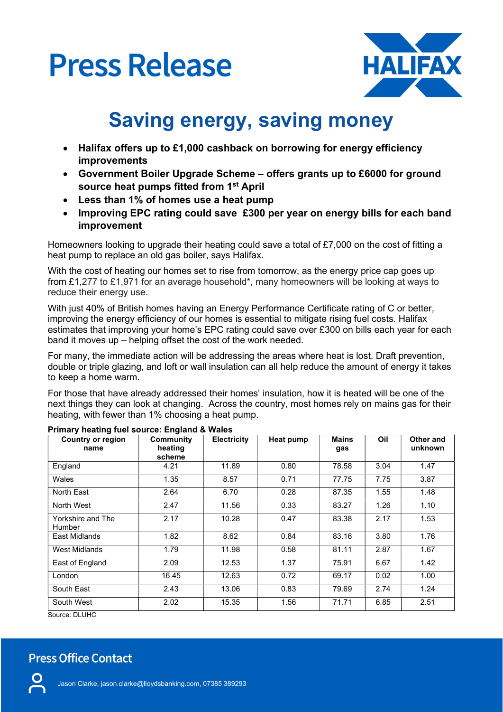## **Press Release**



## Saving energy, saving money

- Halifax offers up to £1,000 cashback on borrowing for energy efficiency improvements
- Government Boiler Upgrade Scheme offers grants up to £6000 for ground source heat pumps fitted from 1st April
- Less than 1% of homes use a heat pump
- Improving EPC rating could save £300 per year on energy bills for each band improvement

Homeowners looking to upgrade their heating could save a total of £7,000 on the cost of fitting a heat pump to replace an old gas boiler, says Halifax.

With the cost of heating our homes set to rise from tomorrow, as the energy price cap goes up from £1,277 to £1,971 for an average household\*, many homeowners will be looking at ways to reduce their energy use.

With just 40% of British homes having an Energy Performance Certificate rating of C or better, improving the energy efficiency of our homes is essential to mitigate rising fuel costs. Halifax estimates that improving your home's EPC rating could save over £300 on bills each year for each band it moves up – helping offset the cost of the work needed.

For many, the immediate action will be addressing the areas where heat is lost. Draft prevention, double or triple glazing, and loft or wall insulation can all help reduce the amount of energy it takes to keep a home warm.

For those that have already addressed their homes' insulation, how it is heated will be one of the next things they can look at changing. Across the country, most homes rely on mains gas for their heating, with fewer than 1% choosing a heat pump.

| <b>Country or region</b><br>name   | <b>Community</b><br>heating<br>scheme | <b>Electricity</b> | Heat pump | <b>Mains</b><br>gas | Oil  | Other and<br>unknown |
|------------------------------------|---------------------------------------|--------------------|-----------|---------------------|------|----------------------|
| England                            | 4.21                                  | 11.89              | 0.80      | 78.58               | 3.04 | 1.47                 |
| Wales                              | 1.35                                  | 8.57               | 0.71      | 77.75               | 7.75 | 3.87                 |
| North East                         | 2.64                                  | 6.70               | 0.28      | 87.35               | 1.55 | 1.48                 |
| North West                         | 2.47                                  | 11.56              | 0.33      | 83.27               | 1.26 | 1.10                 |
| Yorkshire and The<br><b>Humber</b> | 2.17                                  | 10.28              | 0.47      | 83.38               | 2.17 | 1.53                 |
| East Midlands                      | 1.82                                  | 8.62               | 0.84      | 83.16               | 3.80 | 1.76                 |
| West Midlands                      | 1.79                                  | 11.98              | 0.58      | 81.11               | 2.87 | 1.67                 |
| East of England                    | 2.09                                  | 12.53              | 1.37      | 75.91               | 6.67 | 1.42                 |
| London                             | 16.45                                 | 12.63              | 0.72      | 69.17               | 0.02 | 1.00                 |
| South East                         | 2.43                                  | 13.06              | 0.83      | 79.69               | 2.74 | 1.24                 |
| South West                         | 2.02                                  | 15.35              | 1.56      | 71.71               | 6.85 | 2.51                 |

## Primary heating fuel source: England & Wales

Source: DLUHC

## **Press Office Contact**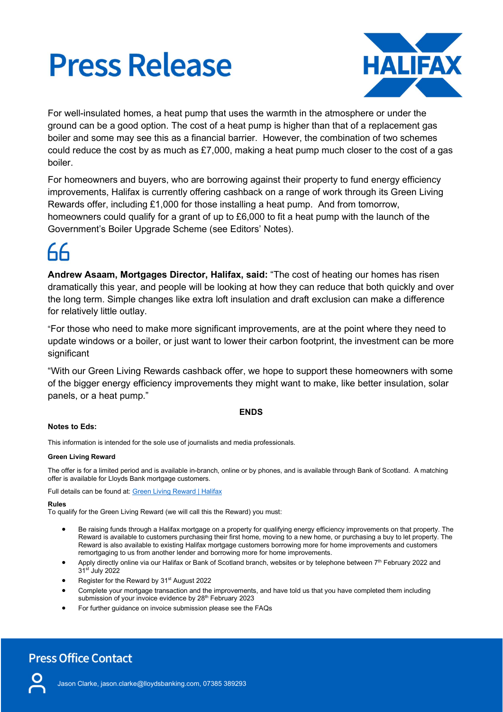# **Press Release**



For well-insulated homes, a heat pump that uses the warmth in the atmosphere or under the ground can be a good option. The cost of a heat pump is higher than that of a replacement gas boiler and some may see this as a financial barrier. However, the combination of two schemes could reduce the cost by as much as £7,000, making a heat pump much closer to the cost of a gas boiler.

For homeowners and buyers, who are borrowing against their property to fund energy efficiency improvements, Halifax is currently offering cashback on a range of work through its Green Living Rewards offer, including £1,000 for those installing a heat pump. And from tomorrow, homeowners could qualify for a grant of up to £6,000 to fit a heat pump with the launch of the Government's Boiler Upgrade Scheme (see Editors' Notes).

Andrew Asaam, Mortgages Director, Halifax, said: "The cost of heating our homes has risen dramatically this year, and people will be looking at how they can reduce that both quickly and over the long term. Simple changes like extra loft insulation and draft exclusion can make a difference for relatively little outlay.

"For those who need to make more significant improvements, are at the point where they need to update windows or a boiler, or just want to lower their carbon footprint, the investment can be more significant

"With our Green Living Rewards cashback offer, we hope to support these homeowners with some of the bigger energy efficiency improvements they might want to make, like better insulation, solar panels, or a heat pump."

## ENDS

## Notes to Eds:

This information is intended for the sole use of journalists and media professionals.

## Green Living Reward

The offer is for a limited period and is available in-branch, online or by phones, and is available through Bank of Scotland. A matching offer is available for Lloyds Bank mortgage customers.

Full details can be found at: Green Living Reward | Halifax

## Rules

To qualify for the Green Living Reward (we will call this the Reward) you must:

- Be raising funds through a Halifax mortgage on a property for qualifying energy efficiency improvements on that property. The Reward is available to customers purchasing their first home, moving to a new home, or purchasing a buy to let property. The Reward is also available to existing Halifax mortgage customers borrowing more for home improvements and customers remortgaging to us from another lender and borrowing more for home improvements.
- Apply directly online via our Halifax or Bank of Scotland branch, websites or by telephone between 7<sup>th</sup> February 2022 and 31st July 2022
- Register for the Reward by 31<sup>st</sup> August 2022
- Complete your mortgage transaction and the improvements, and have told us that you have completed them including submission of your invoice evidence by 28<sup>th</sup> February 2023
- For further guidance on invoice submission please see the FAQs

## **Press Office Contact**